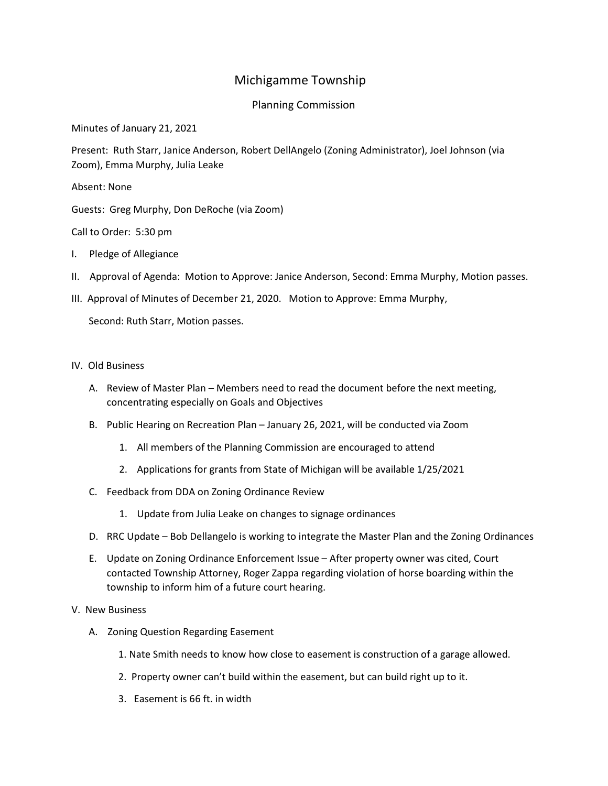## Michigamme Township

## Planning Commission

Minutes of January 21, 2021

Present: Ruth Starr, Janice Anderson, Robert DellAngelo (Zoning Administrator), Joel Johnson (via Zoom), Emma Murphy, Julia Leake

Absent: None

Guests: Greg Murphy, Don DeRoche (via Zoom)

Call to Order: 5:30 pm

- I. Pledge of Allegiance
- II. Approval of Agenda: Motion to Approve: Janice Anderson, Second: Emma Murphy, Motion passes.
- III. Approval of Minutes of December 21, 2020. Motion to Approve: Emma Murphy,

Second: Ruth Starr, Motion passes.

## IV. Old Business

- A. Review of Master Plan Members need to read the document before the next meeting, concentrating especially on Goals and Objectives
- B. Public Hearing on Recreation Plan January 26, 2021, will be conducted via Zoom
	- 1. All members of the Planning Commission are encouraged to attend
	- 2. Applications for grants from State of Michigan will be available 1/25/2021
- C. Feedback from DDA on Zoning Ordinance Review
	- 1. Update from Julia Leake on changes to signage ordinances
- D. RRC Update Bob Dellangelo is working to integrate the Master Plan and the Zoning Ordinances
- E. Update on Zoning Ordinance Enforcement Issue After property owner was cited, Court contacted Township Attorney, Roger Zappa regarding violation of horse boarding within the township to inform him of a future court hearing.

## V. New Business

- A. Zoning Question Regarding Easement
	- 1. Nate Smith needs to know how close to easement is construction of a garage allowed.
	- 2. Property owner can't build within the easement, but can build right up to it.
	- 3. Easement is 66 ft. in width